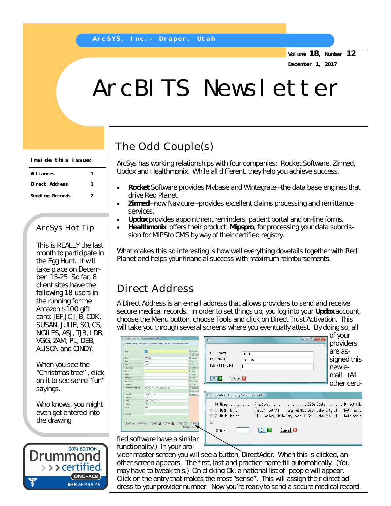**Volume 18, Number 12 December 1, 2017**

# ArcBITS Newsletter

#### **Inside this issue:**

| Al I i ances    |   |
|-----------------|---|
| Direct Address  |   |
| Sending Records | 2 |

#### ArcSys Hot Tip

This is REALLY the last month to participate in the Egg Hunt. It will take place on December 15-25 So far, 8 client sites have the following 18 users in the running for the Amazon \$100 gift card: JEF,JC JJB, CDK, SUSAN, JULIE, SO, CS, NGILES, ASJ, TJB, LDB, VGG, ZAM, PL, DEB, ALISON and CINDY.

When you see the "Christmas tree" , click on it to see some "fun" sayings.

Who knows, you might even get entered into the drawing.



## The Odd Couple(s)

ArcSys has working relationships with four companies: Rocket Software, Zirmed, Updox and Healthmonix. While all different, they help you achieve success.

- **Rocket** Software provides Mvbase and Wintegrate—the data base engines that drive Red Planet.
- **Zirmed**—now Navicure—provides excellent claims processing and remittance services.
- **Updox** provides appointment reminders, patient portal and on-line forms.
- **Healthmonix** offers their product, **Mipspro**, for processing your data submission for MIPSto CMS by way of their certified registry.

What makes this so interesting is how well everything dovetails together with Red Planet and helps your financial success with maximum reimbursements.

### Direct Address

A Direct Address is an e-mail address that allows providers to send and receive secure medical records. In order to set things up, you log into your **Updox** account, choose the Menu button, choose Tools and click on Direct Trust Activation. This will take you through several screens where you eventually attest. By doing so, all

|                    | ROVIDER MASTER - PROVIDER MASTER - PM1                  |                                       |                                   | $= 0$                                            | of your<br>$\mathcal{R}$ |
|--------------------|---------------------------------------------------------|---------------------------------------|-----------------------------------|--------------------------------------------------|--------------------------|
|                    | VTER <> TO ASSIGN NEXT NUMBER, NAME FOR CROSS REFERENCE |                                       | m                                 |                                                  | providers<br>πì          |
| key*               | 100                                                     | 18 phone<br>19 inphone                | <b>FIRST NAME</b>                 | <b>BETH</b>                                      | are as-                  |
| first              | <b>BETH C</b>                                           | 20 poper                              | <b>LAST NAME</b>                  | HANLON                                           | signed this              |
| last               | <b>HANLON</b>                                           | $21$ fex                              |                                   |                                                  |                          |
| <b>Ble</b>         | MD.                                                     | 22 cell                               | <b>BUSINESS NAME</b>              |                                                  |                          |
| speciality         |                                                         | 23 hohone                             |                                   |                                                  | new e-                   |
| dept               |                                                         | $24$ ssn<br>25 fedid                  |                                   |                                                  |                          |
| upin<br>billingnpi |                                                         | $26$ dea                              |                                   |                                                  | mail. (All               |
| groupnpi           |                                                         | 27 contact                            | OK 2<br>Cancel <b>E</b>           |                                                  |                          |
| usedr              |                                                         | 28 misc                               |                                   |                                                  | other certi-             |
| nemeofcompany      | ALPINE INTERNAL MEDICINE                                | 29 comde                              |                                   |                                                  |                          |
|                    |                                                         | 30 labresu                            |                                   |                                                  |                          |
| addr1              | 1050 E 100 S                                            | 31 insid                              | Provider Directory Search Results |                                                  |                          |
| s eddr2            | L10                                                     |                                       |                                   |                                                  |                          |
| l chy              | SALT LAKE CITY                                          |                                       |                                   |                                                  |                          |
| state              | UT.                                                     |                                       |                                   | 耕 Name Practice City State                       | Direct Addr              |
| s zip              | 84012                                                   |                                       |                                   | Hanlon, Beth/Ahn, Yong Hui/Alp Salt Lake City UT |                          |
| email              |                                                         |                                       | 1 Beth Hanlon                     |                                                  | beth.hanlor              |
|                    |                                                         |                                       | $\mathcal{L}$<br>Beth Hanlon      | UT – Hanlon, Beth/Ahn, Yong Hu Salt Lake City UT | beth.hanlor              |
| $Need$ $F$         | Delete <b>A</b><br>Zoom<br>Previous <sup>IT</sup>       | Clear<br>New<br>- ITY<br>1 DirectAddr | Select                            | Cancel <b>X</b><br>OK                            |                          |
|                    | d coftware hove a cimilar                               |                                       |                                   |                                                  |                          |

fied software have a similar functionality.) In your pro-

vider master screen you will see a button, DirectAddr. When this is clicked, another screen appears. The first, last and practice name fill automatically. (You may have to tweak this.) On clicking Ok, a national list of people will appear. Click on the entry that makes the most "sense". This will assign their direct address to your provider number. Now you're ready to send a secure medical record.